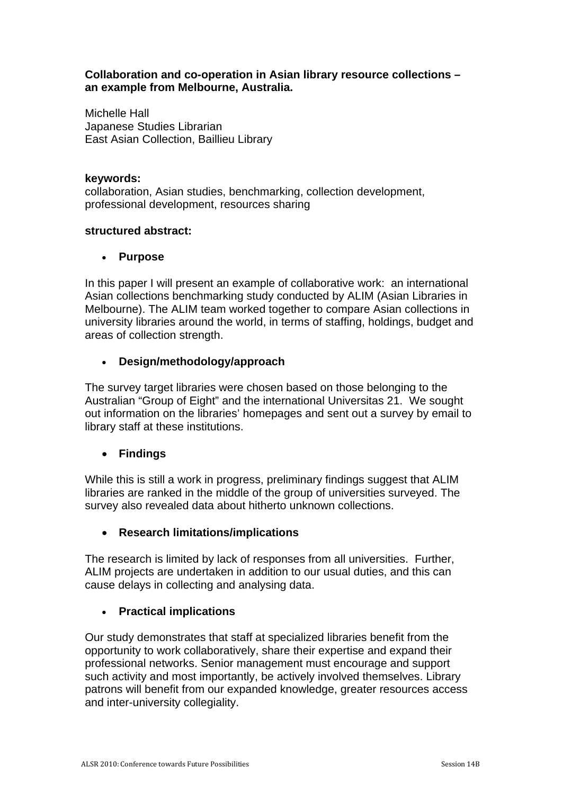### **Collaboration and co-operation in Asian library resource collections – an example from Melbourne, Australia.**

Michelle Hall Japanese Studies Librarian East Asian Collection, Baillieu Library

### **keywords:**

collaboration, Asian studies, benchmarking, collection development, professional development, resources sharing

### **structured abstract:**

## **Purpose**

In this paper I will present an example of collaborative work: an international Asian collections benchmarking study conducted by ALIM (Asian Libraries in Melbourne). The ALIM team worked together to compare Asian collections in university libraries around the world, in terms of staffing, holdings, budget and areas of collection strength.

# **Design/methodology/approach**

The survey target libraries were chosen based on those belonging to the Australian "Group of Eight" and the international Universitas 21. We sought out information on the libraries' homepages and sent out a survey by email to library staff at these institutions.

# **Findings**

While this is still a work in progress, preliminary findings suggest that ALIM libraries are ranked in the middle of the group of universities surveyed. The survey also revealed data about hitherto unknown collections.

## **Research limitations/implications**

The research is limited by lack of responses from all universities. Further, ALIM projects are undertaken in addition to our usual duties, and this can cause delays in collecting and analysing data.

# **Practical implications**

Our study demonstrates that staff at specialized libraries benefit from the opportunity to work collaboratively, share their expertise and expand their professional networks. Senior management must encourage and support such activity and most importantly, be actively involved themselves. Library patrons will benefit from our expanded knowledge, greater resources access and inter-university collegiality.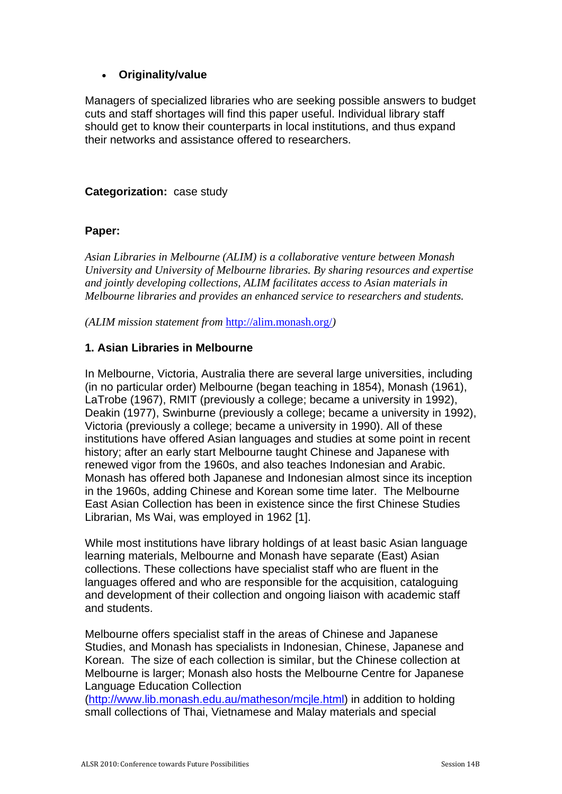# **Originality/value**

Managers of specialized libraries who are seeking possible answers to budget cuts and staff shortages will find this paper useful. Individual library staff should get to know their counterparts in local institutions, and thus expand their networks and assistance offered to researchers.

## **Categorization:** case study

### **Paper:**

*Asian Libraries in Melbourne (ALIM) is a collaborative venture between Monash University and University of Melbourne libraries. By sharing resources and expertise and jointly developing collections, ALIM facilitates access to Asian materials in Melbourne libraries and provides an enhanced service to researchers and students.* 

*(ALIM mission statement from* http://alim.monash.org/*)* 

## **1. Asian Libraries in Melbourne**

In Melbourne, Victoria, Australia there are several large universities, including (in no particular order) Melbourne (began teaching in 1854), Monash (1961), LaTrobe (1967), RMIT (previously a college; became a university in 1992), Deakin (1977), Swinburne (previously a college; became a university in 1992), Victoria (previously a college; became a university in 1990). All of these institutions have offered Asian languages and studies at some point in recent history; after an early start Melbourne taught Chinese and Japanese with renewed vigor from the 1960s, and also teaches Indonesian and Arabic. Monash has offered both Japanese and Indonesian almost since its inception in the 1960s, adding Chinese and Korean some time later. The Melbourne East Asian Collection has been in existence since the first Chinese Studies Librarian, Ms Wai, was employed in 1962 [1].

While most institutions have library holdings of at least basic Asian language learning materials, Melbourne and Monash have separate (East) Asian collections. These collections have specialist staff who are fluent in the languages offered and who are responsible for the acquisition, cataloguing and development of their collection and ongoing liaison with academic staff and students.

Melbourne offers specialist staff in the areas of Chinese and Japanese Studies, and Monash has specialists in Indonesian, Chinese, Japanese and Korean. The size of each collection is similar, but the Chinese collection at Melbourne is larger; Monash also hosts the Melbourne Centre for Japanese Language Education Collection

(http://www.lib.monash.edu.au/matheson/mcjle.html) in addition to holding small collections of Thai, Vietnamese and Malay materials and special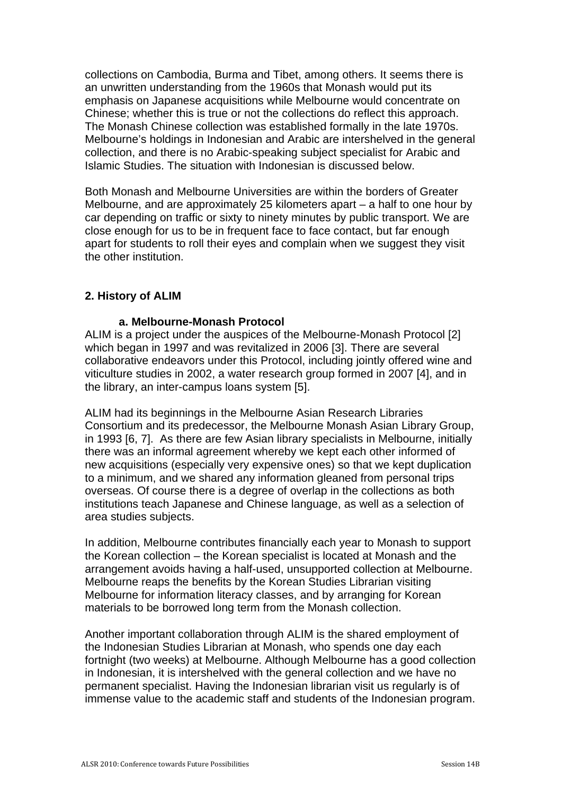collections on Cambodia, Burma and Tibet, among others. It seems there is an unwritten understanding from the 1960s that Monash would put its emphasis on Japanese acquisitions while Melbourne would concentrate on Chinese; whether this is true or not the collections do reflect this approach. The Monash Chinese collection was established formally in the late 1970s. Melbourne's holdings in Indonesian and Arabic are intershelved in the general collection, and there is no Arabic-speaking subject specialist for Arabic and Islamic Studies. The situation with Indonesian is discussed below.

Both Monash and Melbourne Universities are within the borders of Greater Melbourne, and are approximately 25 kilometers apart – a half to one hour by car depending on traffic or sixty to ninety minutes by public transport. We are close enough for us to be in frequent face to face contact, but far enough apart for students to roll their eyes and complain when we suggest they visit the other institution.

### **2. History of ALIM**

#### **a. Melbourne-Monash Protocol**

ALIM is a project under the auspices of the Melbourne-Monash Protocol [2] which began in 1997 and was revitalized in 2006 [3]. There are several collaborative endeavors under this Protocol, including jointly offered wine and viticulture studies in 2002, a water research group formed in 2007 [4], and in the library, an inter-campus loans system [5].

ALIM had its beginnings in the Melbourne Asian Research Libraries Consortium and its predecessor, the Melbourne Monash Asian Library Group, in 1993 [6, 7]. As there are few Asian library specialists in Melbourne, initially there was an informal agreement whereby we kept each other informed of new acquisitions (especially very expensive ones) so that we kept duplication to a minimum, and we shared any information gleaned from personal trips overseas. Of course there is a degree of overlap in the collections as both institutions teach Japanese and Chinese language, as well as a selection of area studies subjects.

In addition, Melbourne contributes financially each year to Monash to support the Korean collection – the Korean specialist is located at Monash and the arrangement avoids having a half-used, unsupported collection at Melbourne. Melbourne reaps the benefits by the Korean Studies Librarian visiting Melbourne for information literacy classes, and by arranging for Korean materials to be borrowed long term from the Monash collection.

Another important collaboration through ALIM is the shared employment of the Indonesian Studies Librarian at Monash, who spends one day each fortnight (two weeks) at Melbourne. Although Melbourne has a good collection in Indonesian, it is intershelved with the general collection and we have no permanent specialist. Having the Indonesian librarian visit us regularly is of immense value to the academic staff and students of the Indonesian program.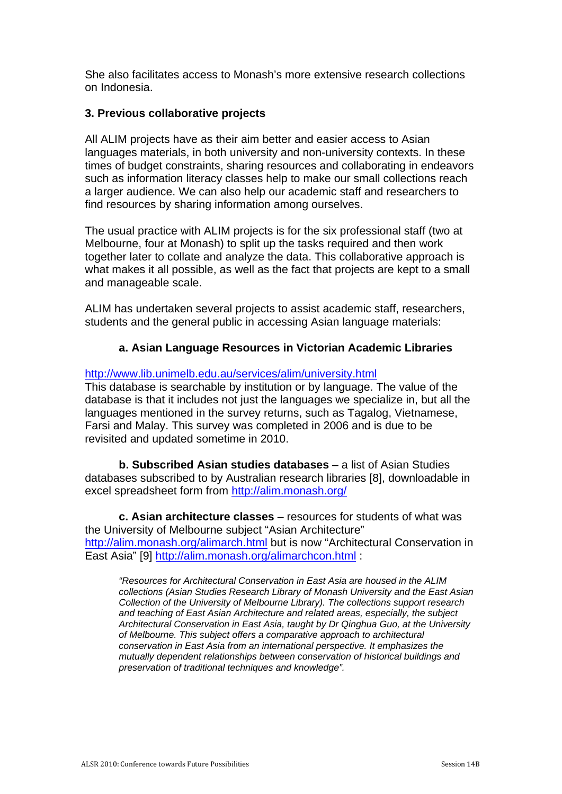She also facilitates access to Monash's more extensive research collections on Indonesia.

### **3. Previous collaborative projects**

All ALIM projects have as their aim better and easier access to Asian languages materials, in both university and non-university contexts. In these times of budget constraints, sharing resources and collaborating in endeavors such as information literacy classes help to make our small collections reach a larger audience. We can also help our academic staff and researchers to find resources by sharing information among ourselves.

The usual practice with ALIM projects is for the six professional staff (two at Melbourne, four at Monash) to split up the tasks required and then work together later to collate and analyze the data. This collaborative approach is what makes it all possible, as well as the fact that projects are kept to a small and manageable scale.

ALIM has undertaken several projects to assist academic staff, researchers, students and the general public in accessing Asian language materials:

## **a. Asian Language Resources in Victorian Academic Libraries**

http://www.lib.unimelb.edu.au/services/alim/university.html

This database is searchable by institution or by language. The value of the database is that it includes not just the languages we specialize in, but all the languages mentioned in the survey returns, such as Tagalog, Vietnamese, Farsi and Malay. This survey was completed in 2006 and is due to be revisited and updated sometime in 2010.

**b. Subscribed Asian studies databases** – a list of Asian Studies databases subscribed to by Australian research libraries [8], downloadable in excel spreadsheet form from http://alim.monash.org/

**c. Asian architecture classes** – resources for students of what was the University of Melbourne subject "Asian Architecture" http://alim.monash.org/alimarch.html but is now "Architectural Conservation in East Asia" [9] http://alim.monash.org/alimarchcon.html :

*"Resources for Architectural Conservation in East Asia are housed in the ALIM collections (Asian Studies Research Library of Monash University and the East Asian Collection of the University of Melbourne Library). The collections support research and teaching of East Asian Architecture and related areas, especially, the subject Architectural Conservation in East Asia, taught by Dr Qinghua Guo, at the University of Melbourne. This subject offers a comparative approach to architectural conservation in East Asia from an international perspective. It emphasizes the mutually dependent relationships between conservation of historical buildings and preservation of traditional techniques and knowledge".*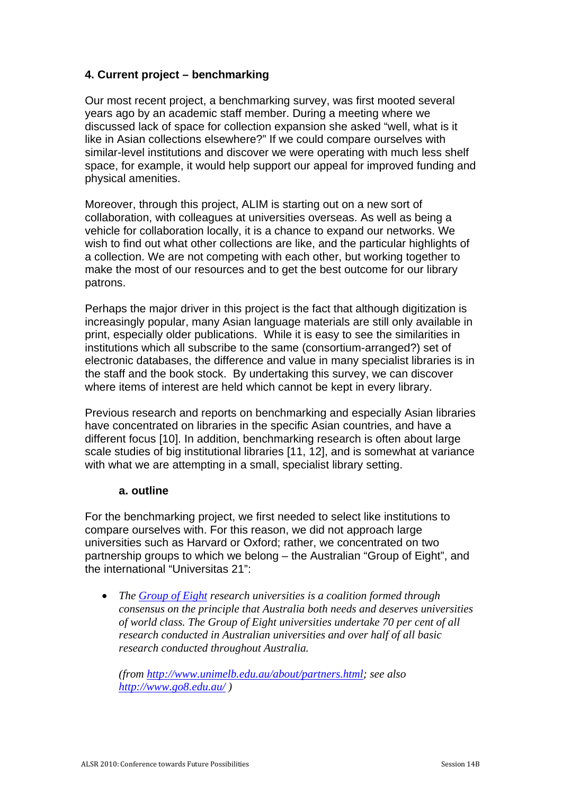# **4. Current project – benchmarking**

Our most recent project, a benchmarking survey, was first mooted several years ago by an academic staff member. During a meeting where we discussed lack of space for collection expansion she asked "well, what is it like in Asian collections elsewhere?" If we could compare ourselves with similar-level institutions and discover we were operating with much less shelf space, for example, it would help support our appeal for improved funding and physical amenities.

Moreover, through this project, ALIM is starting out on a new sort of collaboration, with colleagues at universities overseas. As well as being a vehicle for collaboration locally, it is a chance to expand our networks. We wish to find out what other collections are like, and the particular highlights of a collection. We are not competing with each other, but working together to make the most of our resources and to get the best outcome for our library patrons.

Perhaps the major driver in this project is the fact that although digitization is increasingly popular, many Asian language materials are still only available in print, especially older publications. While it is easy to see the similarities in institutions which all subscribe to the same (consortium-arranged?) set of electronic databases, the difference and value in many specialist libraries is in the staff and the book stock. By undertaking this survey, we can discover where items of interest are held which cannot be kept in every library.

Previous research and reports on benchmarking and especially Asian libraries have concentrated on libraries in the specific Asian countries, and have a different focus [10]. In addition, benchmarking research is often about large scale studies of big institutional libraries [11, 12], and is somewhat at variance with what we are attempting in a small, specialist library setting.

#### **a. outline**

For the benchmarking project, we first needed to select like institutions to compare ourselves with. For this reason, we did not approach large universities such as Harvard or Oxford; rather, we concentrated on two partnership groups to which we belong – the Australian "Group of Eight", and the international "Universitas 21":

 *The Group of Eight research universities is a coalition formed through consensus on the principle that Australia both needs and deserves universities of world class. The Group of Eight universities undertake 70 per cent of all research conducted in Australian universities and over half of all basic research conducted throughout Australia.* 

*(from http://www.unimelb.edu.au/about/partners.html; see also http://www.go8.edu.au/ )*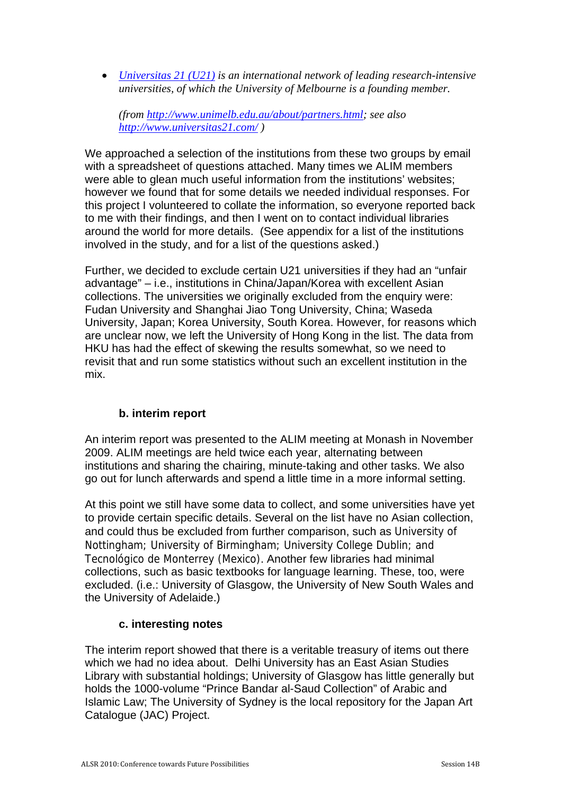*Universitas 21 (U21) is an international network of leading research-intensive universities, of which the University of Melbourne is a founding member.* 

*(from http://www.unimelb.edu.au/about/partners.html; see also http://www.universitas21.com/ )* 

We approached a selection of the institutions from these two groups by email with a spreadsheet of questions attached. Many times we ALIM members were able to glean much useful information from the institutions' websites; however we found that for some details we needed individual responses. For this project I volunteered to collate the information, so everyone reported back to me with their findings, and then I went on to contact individual libraries around the world for more details. (See appendix for a list of the institutions involved in the study, and for a list of the questions asked.)

Further, we decided to exclude certain U21 universities if they had an "unfair advantage" – i.e., institutions in China/Japan/Korea with excellent Asian collections. The universities we originally excluded from the enquiry were: Fudan University and Shanghai Jiao Tong University, China; Waseda University, Japan; Korea University, South Korea. However, for reasons which are unclear now, we left the University of Hong Kong in the list. The data from HKU has had the effect of skewing the results somewhat, so we need to revisit that and run some statistics without such an excellent institution in the mix.

## **b. interim report**

An interim report was presented to the ALIM meeting at Monash in November 2009. ALIM meetings are held twice each year, alternating between institutions and sharing the chairing, minute-taking and other tasks. We also go out for lunch afterwards and spend a little time in a more informal setting.

At this point we still have some data to collect, and some universities have yet to provide certain specific details. Several on the list have no Asian collection, and could thus be excluded from further comparison, such as University of Nottingham; University of Birmingham; University College Dublin; and Tecnológico de Monterrey (Mexico). Another few libraries had minimal collections, such as basic textbooks for language learning. These, too, were excluded. (i.e.: University of Glasgow, the University of New South Wales and the University of Adelaide.)

#### **c. interesting notes**

The interim report showed that there is a veritable treasury of items out there which we had no idea about. Delhi University has an East Asian Studies Library with substantial holdings; University of Glasgow has little generally but holds the 1000-volume "Prince Bandar al-Saud Collection" of Arabic and Islamic Law; The University of Sydney is the local repository for the Japan Art Catalogue (JAC) Project.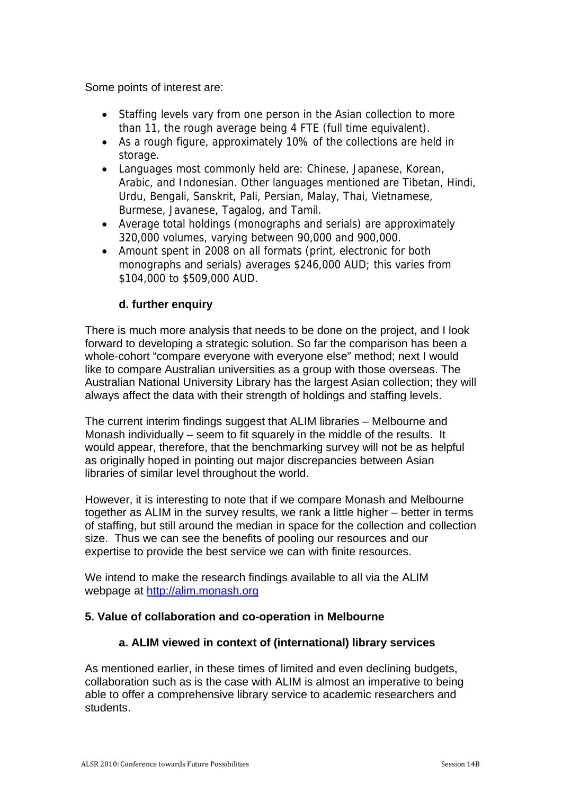Some points of interest are:

- Staffing levels vary from one person in the Asian collection to more than 11, the rough average being 4 FTE (full time equivalent).
- As a rough figure, approximately 10% of the collections are held in storage.
- Languages most commonly held are: Chinese, Japanese, Korean, Arabic, and Indonesian. Other languages mentioned are Tibetan, Hindi, Urdu, Bengali, Sanskrit, Pali, Persian, Malay, Thai, Vietnamese, Burmese, Javanese, Tagalog, and Tamil.
- Average total holdings (monographs and serials) are approximately 320,000 volumes, varying between 90,000 and 900,000.
- Amount spent in 2008 on all formats (print, electronic for both monographs and serials) averages \$246,000 AUD; this varies from \$104,000 to \$509,000 AUD.

# **d. further enquiry**

There is much more analysis that needs to be done on the project, and I look forward to developing a strategic solution. So far the comparison has been a whole-cohort "compare everyone with everyone else" method; next I would like to compare Australian universities as a group with those overseas. The Australian National University Library has the largest Asian collection; they will always affect the data with their strength of holdings and staffing levels.

The current interim findings suggest that ALIM libraries – Melbourne and Monash individually – seem to fit squarely in the middle of the results. It would appear, therefore, that the benchmarking survey will not be as helpful as originally hoped in pointing out major discrepancies between Asian libraries of similar level throughout the world.

However, it is interesting to note that if we compare Monash and Melbourne together as ALIM in the survey results, we rank a little higher – better in terms of staffing, but still around the median in space for the collection and collection size. Thus we can see the benefits of pooling our resources and our expertise to provide the best service we can with finite resources.

We intend to make the research findings available to all via the ALIM webpage at http://alim.monash.org

## **5. Value of collaboration and co-operation in Melbourne**

## **a. ALIM viewed in context of (international) library services**

As mentioned earlier, in these times of limited and even declining budgets, collaboration such as is the case with ALIM is almost an imperative to being able to offer a comprehensive library service to academic researchers and students.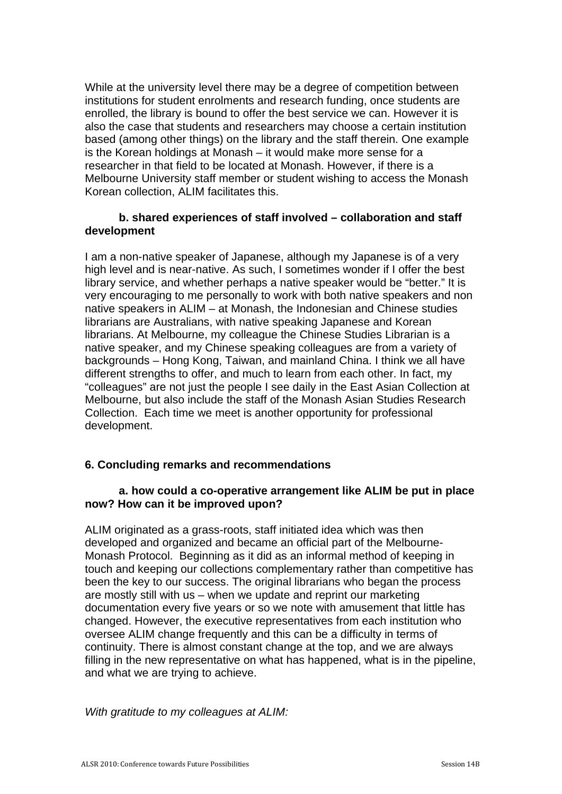While at the university level there may be a degree of competition between institutions for student enrolments and research funding, once students are enrolled, the library is bound to offer the best service we can. However it is also the case that students and researchers may choose a certain institution based (among other things) on the library and the staff therein. One example is the Korean holdings at Monash – it would make more sense for a researcher in that field to be located at Monash. However, if there is a Melbourne University staff member or student wishing to access the Monash Korean collection, ALIM facilitates this.

## **b. shared experiences of staff involved – collaboration and staff development**

I am a non-native speaker of Japanese, although my Japanese is of a very high level and is near-native. As such, I sometimes wonder if I offer the best library service, and whether perhaps a native speaker would be "better." It is very encouraging to me personally to work with both native speakers and non native speakers in ALIM – at Monash, the Indonesian and Chinese studies librarians are Australians, with native speaking Japanese and Korean librarians. At Melbourne, my colleague the Chinese Studies Librarian is a native speaker, and my Chinese speaking colleagues are from a variety of backgrounds – Hong Kong, Taiwan, and mainland China. I think we all have different strengths to offer, and much to learn from each other. In fact, my "colleagues" are not just the people I see daily in the East Asian Collection at Melbourne, but also include the staff of the Monash Asian Studies Research Collection. Each time we meet is another opportunity for professional development.

## **6. Concluding remarks and recommendations**

## **a. how could a co-operative arrangement like ALIM be put in place now? How can it be improved upon?**

ALIM originated as a grass-roots, staff initiated idea which was then developed and organized and became an official part of the Melbourne-Monash Protocol. Beginning as it did as an informal method of keeping in touch and keeping our collections complementary rather than competitive has been the key to our success. The original librarians who began the process are mostly still with us – when we update and reprint our marketing documentation every five years or so we note with amusement that little has changed. However, the executive representatives from each institution who oversee ALIM change frequently and this can be a difficulty in terms of continuity. There is almost constant change at the top, and we are always filling in the new representative on what has happened, what is in the pipeline, and what we are trying to achieve.

*With gratitude to my colleagues at ALIM:*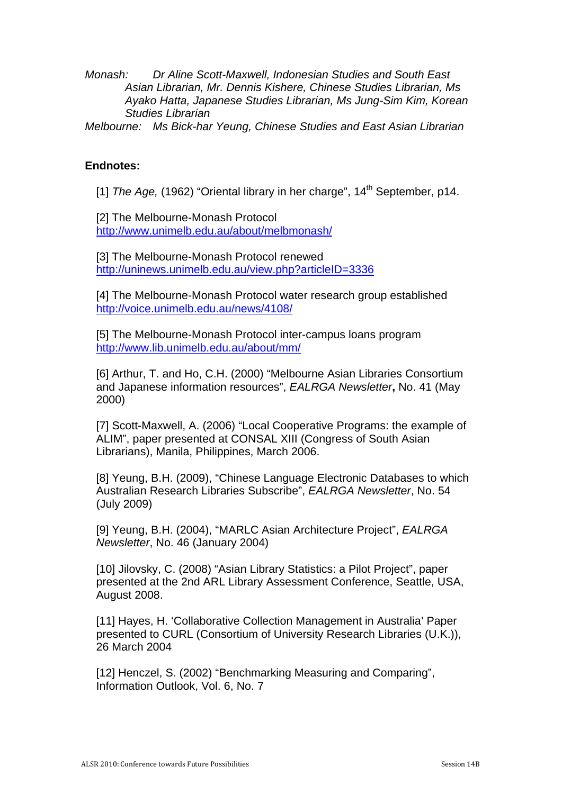*Monash: Dr Aline Scott-Maxwell, Indonesian Studies and South East Asian Librarian, Mr. Dennis Kishere, Chinese Studies Librarian, Ms Ayako Hatta, Japanese Studies Librarian, Ms Jung-Sim Kim, Korean Studies Librarian* 

*Melbourne: Ms Bick-har Yeung, Chinese Studies and East Asian Librarian* 

### **Endnotes:**

[1] *The Age,* (1962) "Oriental library in her charge", 14<sup>th</sup> September, p14.

[2] The Melbourne-Monash Protocol http://www.unimelb.edu.au/about/melbmonash/

[3] The Melbourne-Monash Protocol renewed http://uninews.unimelb.edu.au/view.php?articleID=3336

[4] The Melbourne-Monash Protocol water research group established http://voice.unimelb.edu.au/news/4108/

[5] The Melbourne-Monash Protocol inter-campus loans program http://www.lib.unimelb.edu.au/about/mm/

[6] Arthur, T. and Ho, C.H. (2000) "Melbourne Asian Libraries Consortium and Japanese information resources", *EALRGA Newsletter***,** No. 41 (May 2000)

[7] Scott-Maxwell, A. (2006) "Local Cooperative Programs: the example of ALIM", paper presented at CONSAL XIII (Congress of South Asian Librarians), Manila, Philippines, March 2006.

[8] Yeung, B.H. (2009), "Chinese Language Electronic Databases to which Australian Research Libraries Subscribe", *EALRGA Newsletter*, No. 54 (July 2009)

[9] Yeung, B.H. (2004), "MARLC Asian Architecture Project", *EALRGA Newsletter*, No. 46 (January 2004)

[10] Jilovsky, C. (2008) "Asian Library Statistics: a Pilot Project", paper presented at the 2nd ARL Library Assessment Conference, Seattle, USA, August 2008.

[11] Hayes, H. 'Collaborative Collection Management in Australia' Paper presented to CURL (Consortium of University Research Libraries (U.K.)), 26 March 2004

[12] Henczel, S. (2002) "Benchmarking Measuring and Comparing", Information Outlook, Vol. 6, No. 7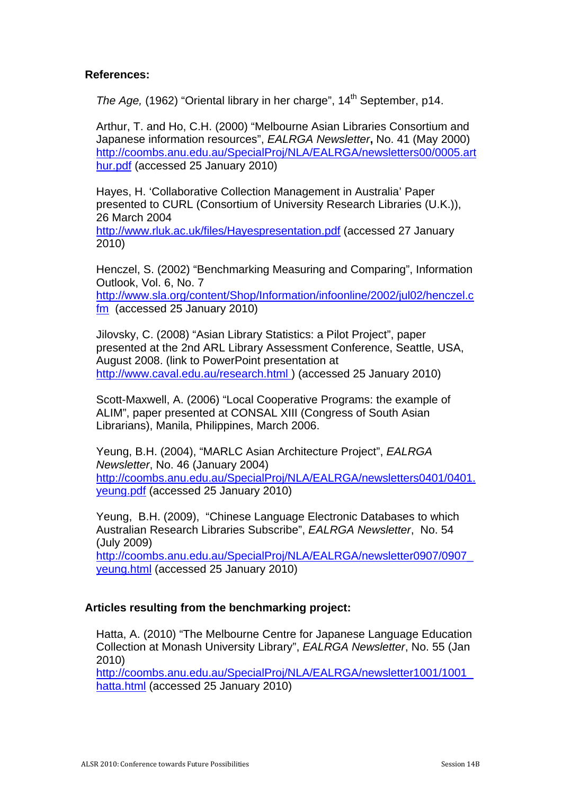# **References:**

*The Age,* (1962) "Oriental library in her charge", 14<sup>th</sup> September, p14.

Arthur, T. and Ho, C.H. (2000) "Melbourne Asian Libraries Consortium and Japanese information resources", *EALRGA Newsletter***,** No. 41 (May 2000) http://coombs.anu.edu.au/SpecialProj/NLA/EALRGA/newsletters00/0005.art hur.pdf (accessed 25 January 2010)

Hayes, H. 'Collaborative Collection Management in Australia' Paper presented to CURL (Consortium of University Research Libraries (U.K.)), 26 March 2004

http://www.rluk.ac.uk/files/Hayespresentation.pdf (accessed 27 January 2010)

Henczel, S. (2002) "Benchmarking Measuring and Comparing", Information Outlook, Vol. 6, No. 7 http://www.sla.org/content/Shop/Information/infoonline/2002/jul02/henczel.c fm (accessed 25 January 2010)

Jilovsky, C. (2008) "Asian Library Statistics: a Pilot Project", paper presented at the 2nd ARL Library Assessment Conference, Seattle, USA, August 2008. (link to PowerPoint presentation at http://www.caval.edu.au/research.html ) (accessed 25 January 2010)

Scott-Maxwell, A. (2006) "Local Cooperative Programs: the example of ALIM", paper presented at CONSAL XIII (Congress of South Asian Librarians), Manila, Philippines, March 2006.

Yeung, B.H. (2004), "MARLC Asian Architecture Project", *EALRGA Newsletter*, No. 46 (January 2004) http://coombs.anu.edu.au/SpecialProj/NLA/EALRGA/newsletters0401/0401. yeung.pdf (accessed 25 January 2010)

Yeung, B.H. (2009), "Chinese Language Electronic Databases to which Australian Research Libraries Subscribe", *EALRGA Newsletter*, No. 54 (July 2009)

http://coombs.anu.edu.au/SpecialProj/NLA/EALRGA/newsletter0907/0907\_ yeung.html (accessed 25 January 2010)

## **Articles resulting from the benchmarking project:**

Hatta, A. (2010) "The Melbourne Centre for Japanese Language Education Collection at Monash University Library", *EALRGA Newsletter*, No. 55 (Jan 2010)

http://coombs.anu.edu.au/SpecialProj/NLA/EALRGA/newsletter1001/1001\_ hatta.html (accessed 25 January 2010)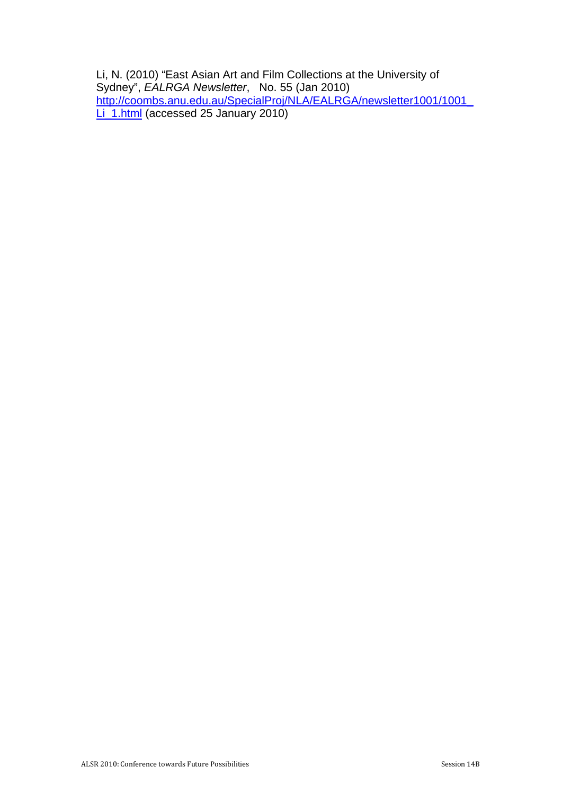Li, N. (2010) "East Asian Art and Film Collections at the University of Sydney", *EALRGA Newsletter*, No. 55 (Jan 2010) http://coombs.anu.edu.au/SpecialProj/NLA/EALRGA/newsletter1001/1001\_ Li\_1.html (accessed 25 January 2010)